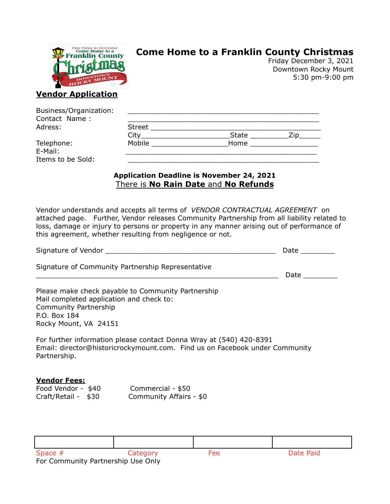

## **Come Home to a Franklin County Christmas**

Friday December 3, 2021 Downtown Rocky Mount 5:30 pm-9:00 pm

### **Vendor Application**

| Business/Organization: |        |       |     |  |
|------------------------|--------|-------|-----|--|
| Contact Name:          |        |       |     |  |
| Adress:                | Street |       |     |  |
|                        | City   | State | Zin |  |
| Telephone:             | Mobile | Home  |     |  |
| E-Mail:                |        |       |     |  |
| Items to be Sold:      |        |       |     |  |

#### **Application Deadline is November 24, 2021** There is **No Rain Date** and **No Refunds**

Vendor understands and accepts all terms of *VENDOR CONTRACTUAL AGREEMENT* on attached page. Further, Vendor releases Community Partnership from all liability related to loss, damage or injury to persons or property in any manner arising out of performance of this agreement, whether resulting from negligence or not.

| Signature of Vendor                                                                                                                                                     |                                              |     | <b>Date</b> |  |  |
|-------------------------------------------------------------------------------------------------------------------------------------------------------------------------|----------------------------------------------|-----|-------------|--|--|
| Signature of Community Partnership Representative                                                                                                                       |                                              |     | Date $\_\_$ |  |  |
| Please make check payable to Community Partnership<br>Mail completed application and check to:<br><b>Community Partnership</b><br>P.O. Box 184<br>Rocky Mount, VA 24151 |                                              |     |             |  |  |
| For further information please contact Donna Wray at (540) 420-8391<br>Email: director@historicrockymount.com. Find us on Facebook under Community<br>Partnership.      |                                              |     |             |  |  |
| <b>Vendor Fees:</b><br>Food Vendor - \$40<br>Craft/Retail - \$30                                                                                                        | Commercial - \$50<br>Community Affairs - \$0 |     |             |  |  |
| Space $#$                                                                                                                                                               | Category                                     | Fee | Date Paid   |  |  |